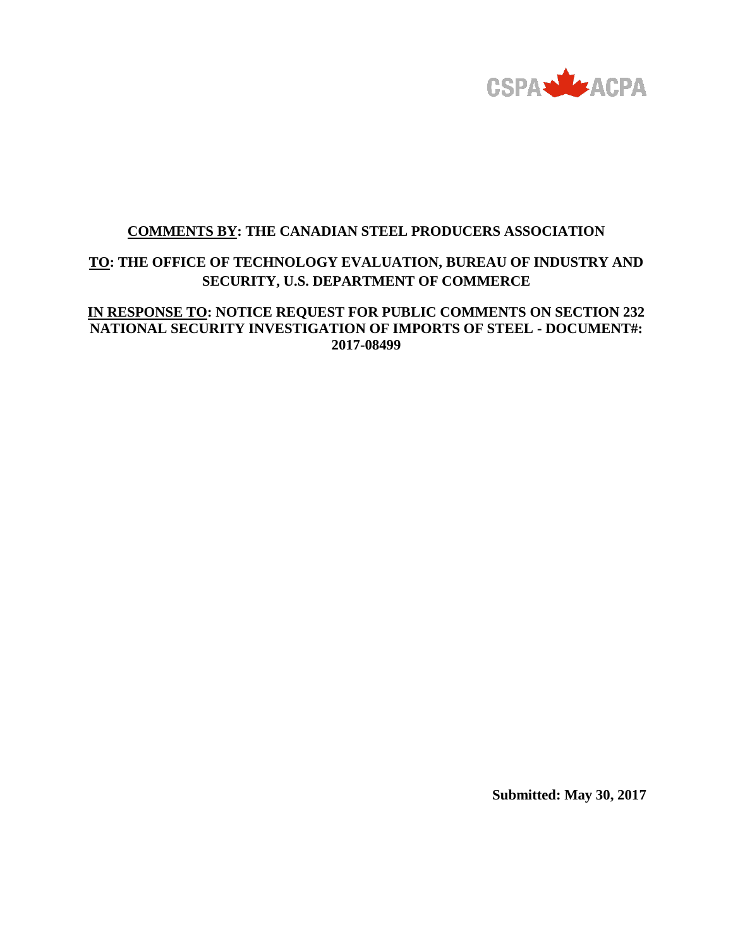

# **COMMENTS BY: THE CANADIAN STEEL PRODUCERS ASSOCIATION**

# **TO: THE OFFICE OF TECHNOLOGY EVALUATION, BUREAU OF INDUSTRY AND SECURITY, U.S. DEPARTMENT OF COMMERCE**

# **IN RESPONSE TO: NOTICE REQUEST FOR PUBLIC COMMENTS ON SECTION 232 NATIONAL SECURITY INVESTIGATION OF IMPORTS OF STEEL - DOCUMENT#: 2017-08499**

**Submitted: May 30, 2017**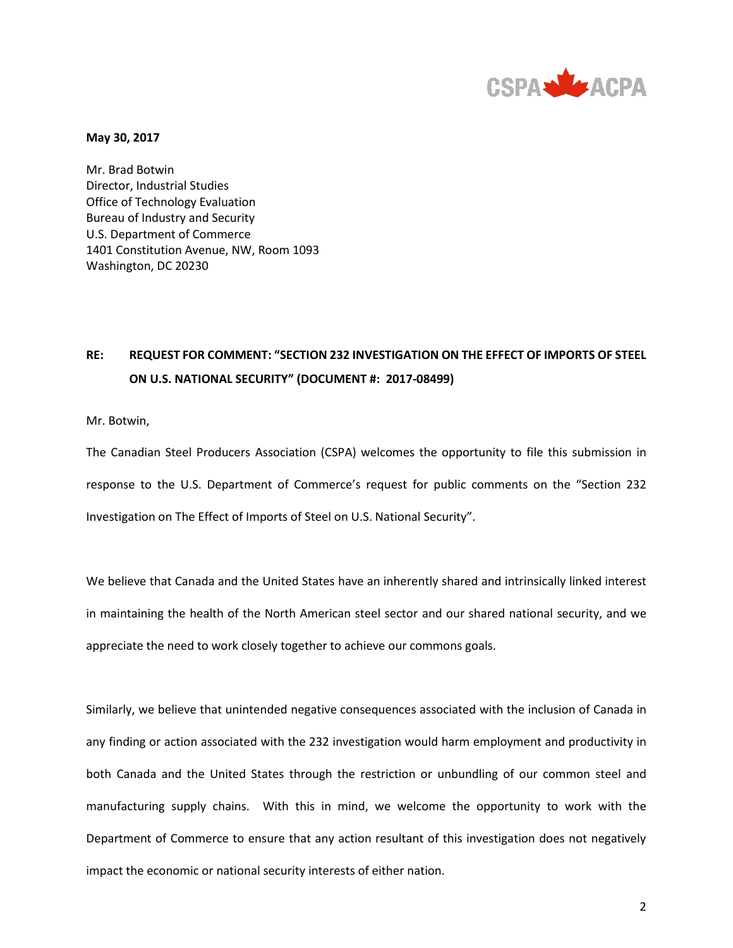

**May 30, 2017**

Mr. Brad Botwin Director, Industrial Studies Office of Technology Evaluation Bureau of Industry and Security U.S. Department of Commerce 1401 Constitution Avenue, NW, Room 1093 Washington, DC 20230

# **RE: REQUEST FOR COMMENT: "SECTION 232 INVESTIGATION ON THE EFFECT OF IMPORTS OF STEEL ON U.S. NATIONAL SECURITY" (DOCUMENT #: 2017-08499)**

Mr. Botwin,

The Canadian Steel Producers Association (CSPA) welcomes the opportunity to file this submission in response to the U.S. Department of Commerce's request for public comments on the "Section 232 Investigation on The Effect of Imports of Steel on U.S. National Security".

We believe that Canada and the United States have an inherently shared and intrinsically linked interest in maintaining the health of the North American steel sector and our shared national security, and we appreciate the need to work closely together to achieve our commons goals.

Similarly, we believe that unintended negative consequences associated with the inclusion of Canada in any finding or action associated with the 232 investigation would harm employment and productivity in both Canada and the United States through the restriction or unbundling of our common steel and manufacturing supply chains. With this in mind, we welcome the opportunity to work with the Department of Commerce to ensure that any action resultant of this investigation does not negatively impact the economic or national security interests of either nation.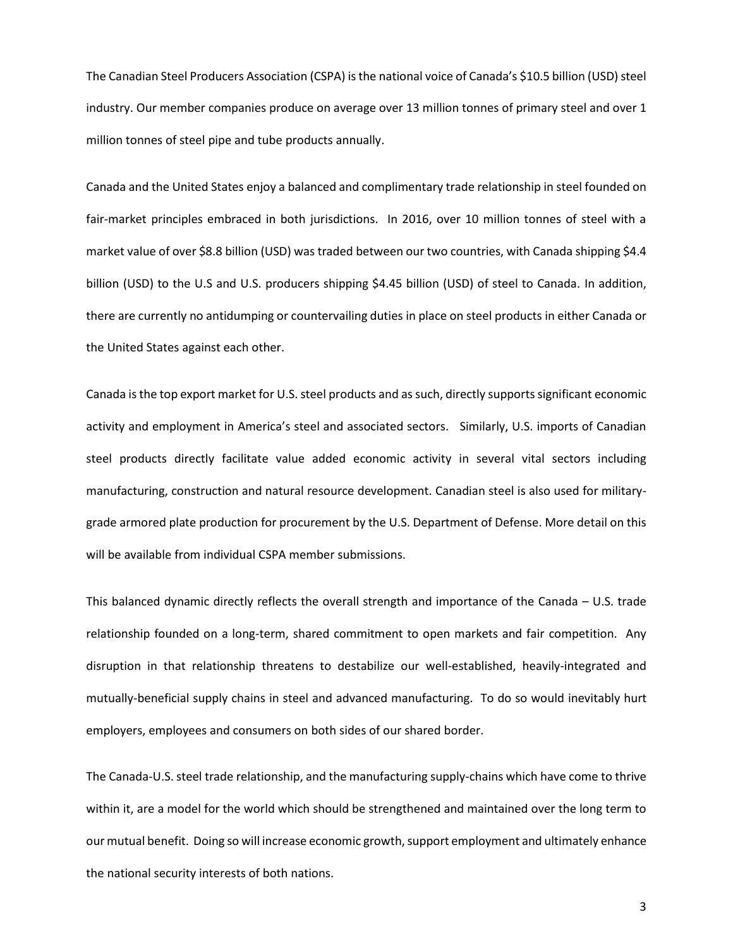The Canadian Steel Producers Association (CSPA) is the national voice of Canada's \$10.5 billion (USD) steel industry. Our member companies produce on average over 13 million tonnes of primary steel and over 1 million tonnes of steel pipe and tube products annually.

Canada and the United States enjoy a balanced and complimentary trade relationship in steel founded on fair-market principles embraced in both jurisdictions. In 2016, over 10 million tonnes of steel with a market value of over \$8.8 billion (USD) was traded between our two countries, with Canada shipping \$4.4 billion (USD) to the U.S and U.S. producers shipping \$4.45 billion (USD) of steel to Canada. In addition, there are currently no antidumping or countervailing duties in place on steel products in either Canada or the United States against each other.

Canada is the top export market for U.S. steel products and as such, directly supports significant economic activity and employment in America's steel and associated sectors. Similarly, U.S. imports of Canadian steel products directly facilitate value added economic activity in several vital sectors including manufacturing, construction and natural resource development. Canadian steel is also used for militarygrade armored plate production for procurement by the U.S. Department of Defense. More detail on this will be available from individual CSPA member submissions.

This balanced dynamic directly reflects the overall strength and importance of the Canada – U.S. trade relationship founded on a long-term, shared commitment to open markets and fair competition. Any disruption in that relationship threatens to destabilize our well-established, heavily-integrated and mutually-beneficial supply chains in steel and advanced manufacturing. To do so would inevitably hurt employers, employees and consumers on both sides of our shared border.

The Canada-U.S. steel trade relationship, and the manufacturing supply-chains which have come to thrive within it, are a model for the world which should be strengthened and maintained over the long term to our mutual benefit. Doing so will increase economic growth, support employment and ultimately enhance the national security interests of both nations.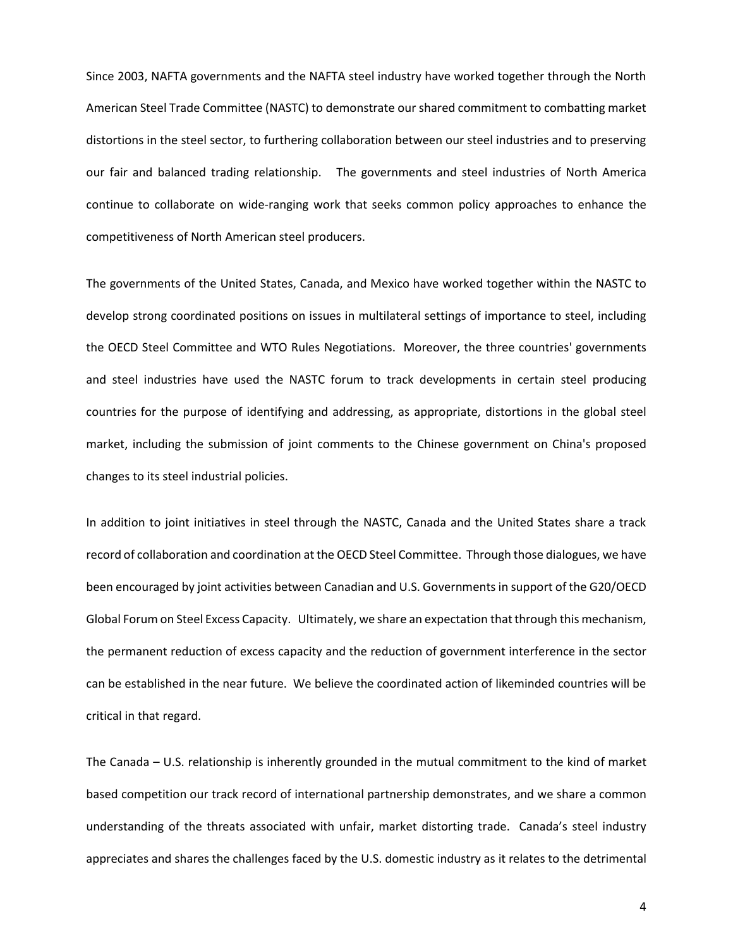Since 2003, NAFTA governments and the NAFTA steel industry have worked together through the North American Steel Trade Committee (NASTC) to demonstrate our shared commitment to combatting market distortions in the steel sector, to furthering collaboration between our steel industries and to preserving our fair and balanced trading relationship. The governments and steel industries of North America continue to collaborate on wide-ranging work that seeks common policy approaches to enhance the competitiveness of North American steel producers.

The governments of the United States, Canada, and Mexico have worked together within the NASTC to develop strong coordinated positions on issues in multilateral settings of importance to steel, including the OECD Steel Committee and WTO Rules Negotiations. Moreover, the three countries' governments and steel industries have used the NASTC forum to track developments in certain steel producing countries for the purpose of identifying and addressing, as appropriate, distortions in the global steel market, including the submission of joint comments to the Chinese government on China's proposed changes to its steel industrial policies.

In addition to joint initiatives in steel through the NASTC, Canada and the United States share a track record of collaboration and coordination at the OECD Steel Committee. Through those dialogues, we have been encouraged by joint activities between Canadian and U.S. Governments in support of the G20/OECD Global Forum on Steel Excess Capacity. Ultimately, we share an expectation that through this mechanism, the permanent reduction of excess capacity and the reduction of government interference in the sector can be established in the near future. We believe the coordinated action of likeminded countries will be critical in that regard.

The Canada – U.S. relationship is inherently grounded in the mutual commitment to the kind of market based competition our track record of international partnership demonstrates, and we share a common understanding of the threats associated with unfair, market distorting trade. Canada's steel industry appreciates and shares the challenges faced by the U.S. domestic industry as it relates to the detrimental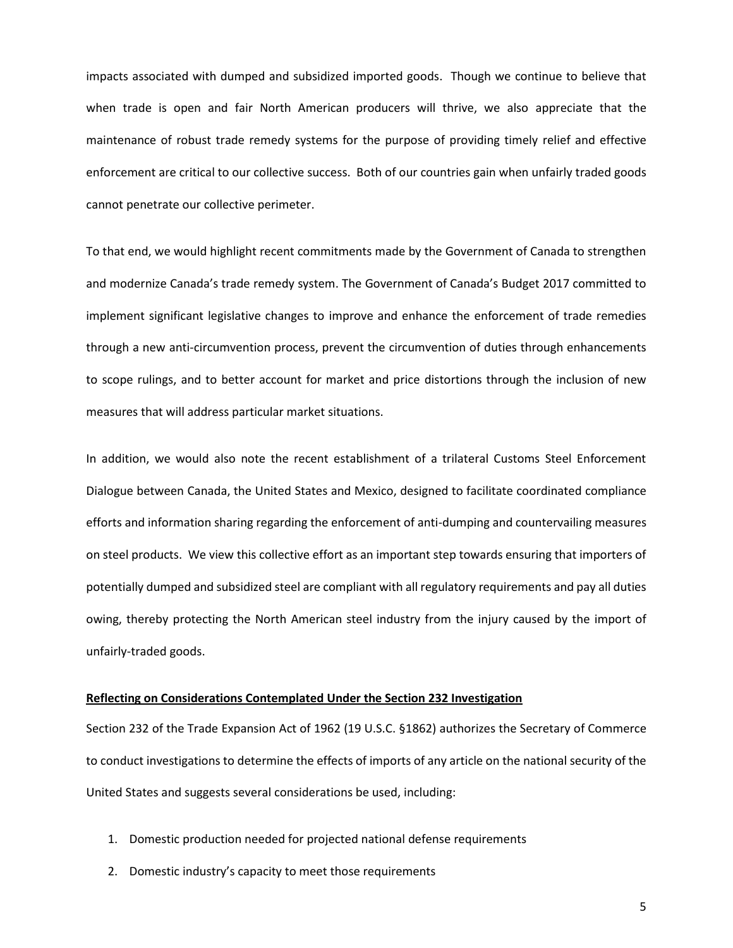impacts associated with dumped and subsidized imported goods. Though we continue to believe that when trade is open and fair North American producers will thrive, we also appreciate that the maintenance of robust trade remedy systems for the purpose of providing timely relief and effective enforcement are critical to our collective success. Both of our countries gain when unfairly traded goods cannot penetrate our collective perimeter.

To that end, we would highlight recent commitments made by the Government of Canada to strengthen and modernize Canada's trade remedy system. The Government of Canada's Budget 2017 committed to implement significant legislative changes to improve and enhance the enforcement of trade remedies through a new anti-circumvention process, prevent the circumvention of duties through enhancements to scope rulings, and to better account for market and price distortions through the inclusion of new measures that will address particular market situations.

In addition, we would also note the recent establishment of a trilateral Customs Steel Enforcement Dialogue between Canada, the United States and Mexico, designed to facilitate coordinated compliance efforts and information sharing regarding the enforcement of anti-dumping and countervailing measures on steel products. We view this collective effort as an important step towards ensuring that importers of potentially dumped and subsidized steel are compliant with all regulatory requirements and pay all duties owing, thereby protecting the North American steel industry from the injury caused by the import of unfairly-traded goods.

## **Reflecting on Considerations Contemplated Under the Section 232 Investigation**

Section 232 of the Trade Expansion Act of 1962 (19 U.S.C. §1862) authorizes the Secretary of Commerce to conduct investigations to determine the effects of imports of any article on the national security of the United States and suggests several considerations be used, including:

- 1. Domestic production needed for projected national defense requirements
- 2. Domestic industry's capacity to meet those requirements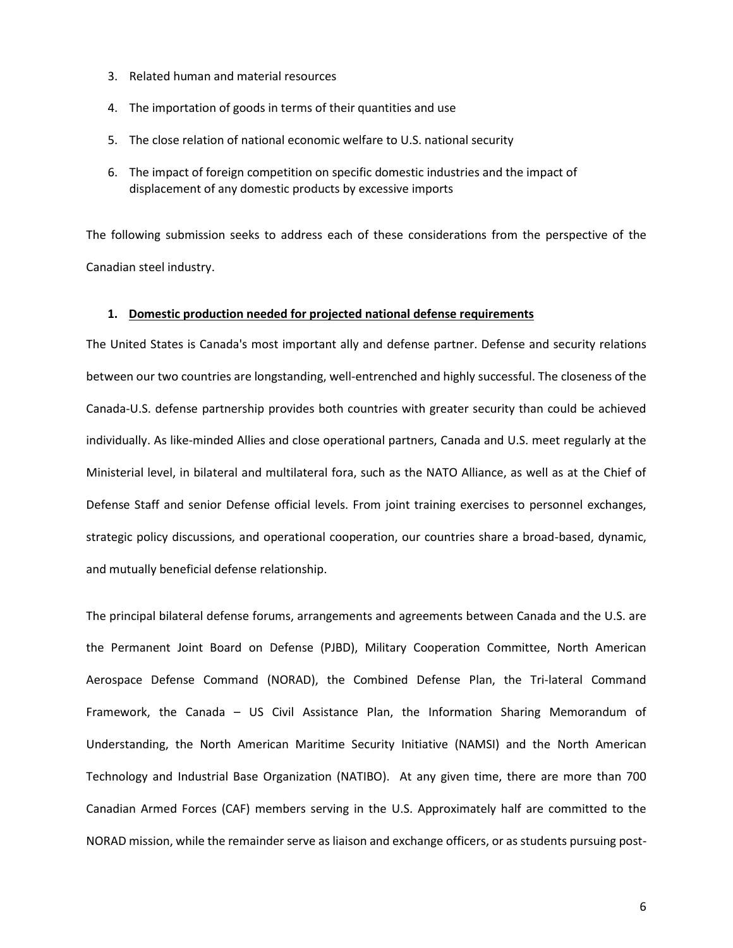- 3. Related human and material resources
- 4. The importation of goods in terms of their quantities and use
- 5. The close relation of national economic welfare to U.S. national security
- 6. The impact of foreign competition on specific domestic industries and the impact of displacement of any domestic products by excessive imports

The following submission seeks to address each of these considerations from the perspective of the Canadian steel industry.

#### **1. Domestic production needed for projected national defense requirements**

The United States is Canada's most important ally and defense partner. Defense and security relations between our two countries are longstanding, well-entrenched and highly successful. The closeness of the Canada-U.S. defense partnership provides both countries with greater security than could be achieved individually. As like-minded Allies and close operational partners, Canada and U.S. meet regularly at the Ministerial level, in bilateral and multilateral fora, such as the NATO Alliance, as well as at the Chief of Defense Staff and senior Defense official levels. From joint training exercises to personnel exchanges, strategic policy discussions, and operational cooperation, our countries share a broad-based, dynamic, and mutually beneficial defense relationship.

The principal bilateral defense forums, arrangements and agreements between Canada and the U.S. are the Permanent Joint Board on Defense (PJBD), Military Cooperation Committee, North American Aerospace Defense Command (NORAD), the Combined Defense Plan, the Tri-lateral Command Framework, the Canada – US Civil Assistance Plan, the Information Sharing Memorandum of Understanding, the North American Maritime Security Initiative (NAMSI) and the North American Technology and Industrial Base Organization (NATIBO). At any given time, there are more than 700 Canadian Armed Forces (CAF) members serving in the U.S. Approximately half are committed to the NORAD mission, while the remainder serve as liaison and exchange officers, or as students pursuing post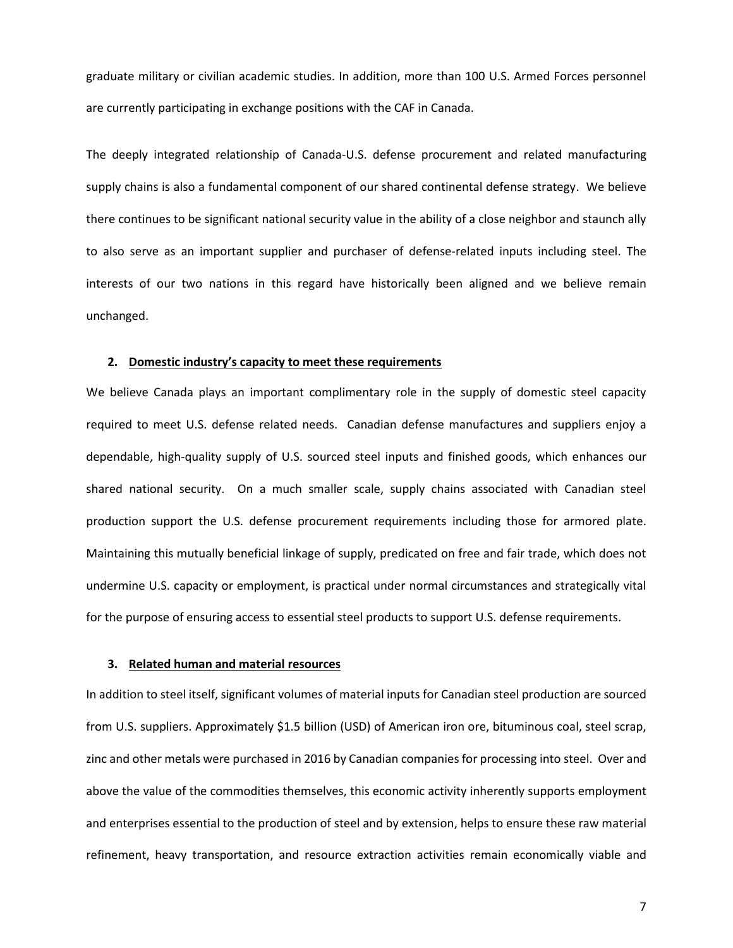graduate military or civilian academic studies. In addition, more than 100 U.S. Armed Forces personnel are currently participating in exchange positions with the CAF in Canada.

The deeply integrated relationship of Canada-U.S. defense procurement and related manufacturing supply chains is also a fundamental component of our shared continental defense strategy. We believe there continues to be significant national security value in the ability of a close neighbor and staunch ally to also serve as an important supplier and purchaser of defense-related inputs including steel. The interests of our two nations in this regard have historically been aligned and we believe remain unchanged.

## **2. Domestic industry's capacity to meet these requirements**

We believe Canada plays an important complimentary role in the supply of domestic steel capacity required to meet U.S. defense related needs. Canadian defense manufactures and suppliers enjoy a dependable, high-quality supply of U.S. sourced steel inputs and finished goods, which enhances our shared national security. On a much smaller scale, supply chains associated with Canadian steel production support the U.S. defense procurement requirements including those for armored plate. Maintaining this mutually beneficial linkage of supply, predicated on free and fair trade, which does not undermine U.S. capacity or employment, is practical under normal circumstances and strategically vital for the purpose of ensuring access to essential steel products to support U.S. defense requirements.

#### **3. Related human and material resources**

In addition to steel itself, significant volumes of material inputs for Canadian steel production are sourced from U.S. suppliers. Approximately \$1.5 billion (USD) of American iron ore, bituminous coal, steel scrap, zinc and other metals were purchased in 2016 by Canadian companies for processing into steel. Over and above the value of the commodities themselves, this economic activity inherently supports employment and enterprises essential to the production of steel and by extension, helps to ensure these raw material refinement, heavy transportation, and resource extraction activities remain economically viable and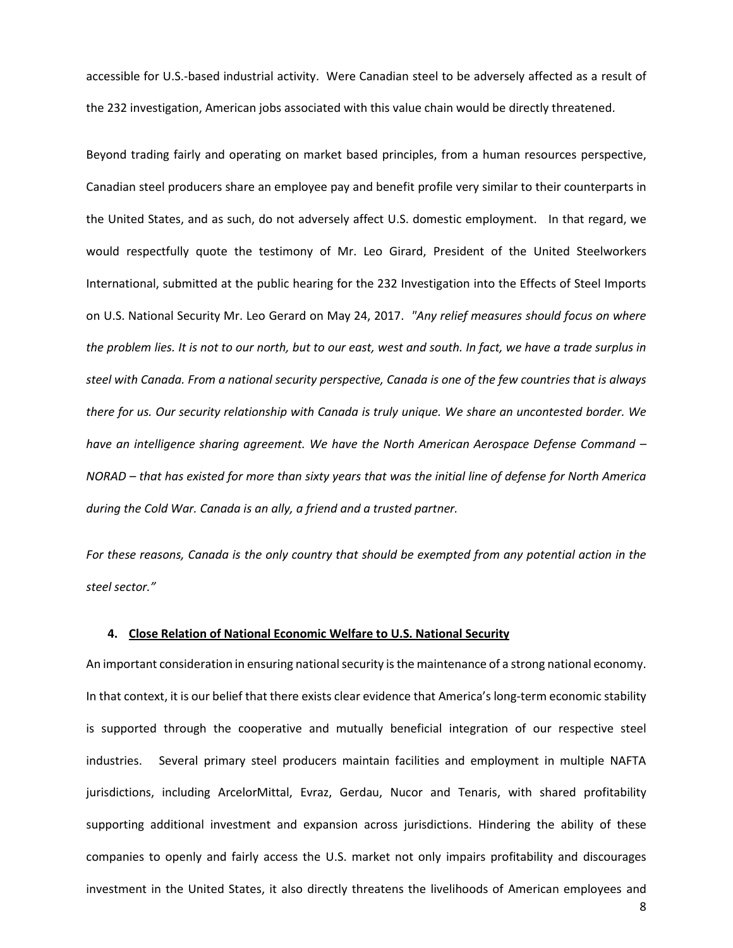accessible for U.S.-based industrial activity. Were Canadian steel to be adversely affected as a result of the 232 investigation, American jobs associated with this value chain would be directly threatened.

Beyond trading fairly and operating on market based principles, from a human resources perspective, Canadian steel producers share an employee pay and benefit profile very similar to their counterparts in the United States, and as such, do not adversely affect U.S. domestic employment. In that regard, we would respectfully quote the testimony of Mr. Leo Girard, President of the United Steelworkers International, submitted at the public hearing for the 232 Investigation into the Effects of Steel Imports on U.S. National Security Mr. Leo Gerard on May 24, 2017. *"Any relief measures should focus on where the problem lies. It is not to our north, but to our east, west and south. In fact, we have a trade surplus in steel with Canada. From a national security perspective, Canada is one of the few countries that is always there for us. Our security relationship with Canada is truly unique. We share an uncontested border. We have an intelligence sharing agreement. We have the North American Aerospace Defense Command – NORAD – that has existed for more than sixty years that was the initial line of defense for North America during the Cold War. Canada is an ally, a friend and a trusted partner.*

*For these reasons, Canada is the only country that should be exempted from any potential action in the steel sector."*

## **4. Close Relation of National Economic Welfare to U.S. National Security**

An important consideration in ensuring national security is the maintenance of a strong national economy. In that context, it is our belief that there exists clear evidence that America's long-term economic stability is supported through the cooperative and mutually beneficial integration of our respective steel industries. Several primary steel producers maintain facilities and employment in multiple NAFTA jurisdictions, including ArcelorMittal, Evraz, Gerdau, Nucor and Tenaris, with shared profitability supporting additional investment and expansion across jurisdictions. Hindering the ability of these companies to openly and fairly access the U.S. market not only impairs profitability and discourages investment in the United States, it also directly threatens the livelihoods of American employees and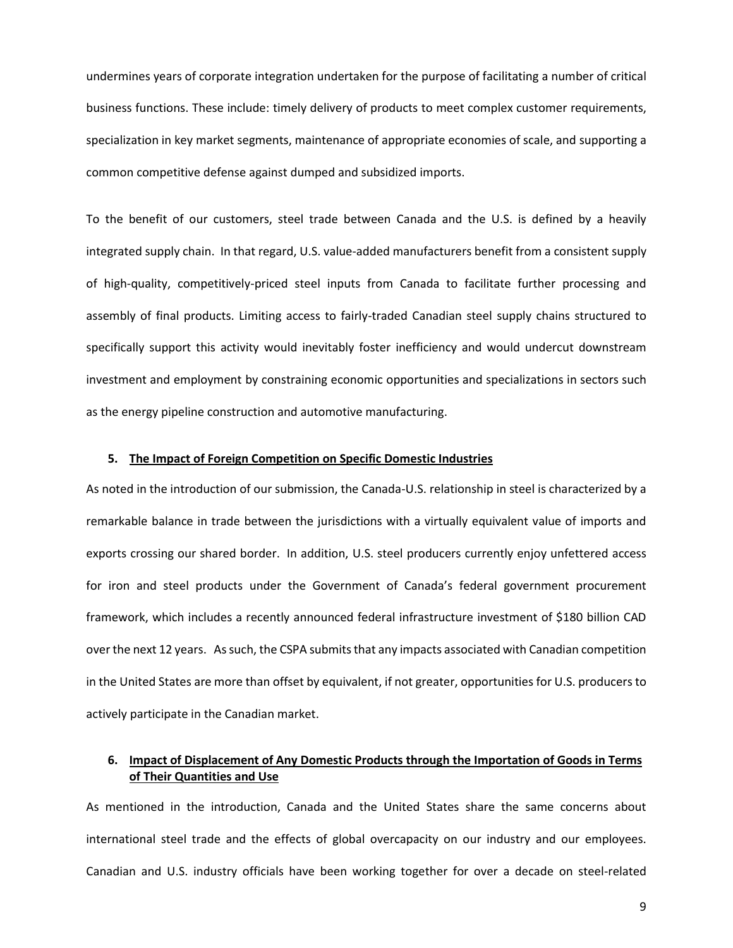undermines years of corporate integration undertaken for the purpose of facilitating a number of critical business functions. These include: timely delivery of products to meet complex customer requirements, specialization in key market segments, maintenance of appropriate economies of scale, and supporting a common competitive defense against dumped and subsidized imports.

To the benefit of our customers, steel trade between Canada and the U.S. is defined by a heavily integrated supply chain. In that regard, U.S. value-added manufacturers benefit from a consistent supply of high-quality, competitively-priced steel inputs from Canada to facilitate further processing and assembly of final products. Limiting access to fairly-traded Canadian steel supply chains structured to specifically support this activity would inevitably foster inefficiency and would undercut downstream investment and employment by constraining economic opportunities and specializations in sectors such as the energy pipeline construction and automotive manufacturing.

#### **5. The Impact of Foreign Competition on Specific Domestic Industries**

As noted in the introduction of our submission, the Canada-U.S. relationship in steel is characterized by a remarkable balance in trade between the jurisdictions with a virtually equivalent value of imports and exports crossing our shared border. In addition, U.S. steel producers currently enjoy unfettered access for iron and steel products under the Government of Canada's federal government procurement framework, which includes a recently announced federal infrastructure investment of \$180 billion CAD over the next 12 years. As such, the CSPA submits that any impacts associated with Canadian competition in the United States are more than offset by equivalent, if not greater, opportunities for U.S. producers to actively participate in the Canadian market.

## **6. Impact of Displacement of Any Domestic Products through the Importation of Goods in Terms of Their Quantities and Use**

As mentioned in the introduction, Canada and the United States share the same concerns about international steel trade and the effects of global overcapacity on our industry and our employees. Canadian and U.S. industry officials have been working together for over a decade on steel-related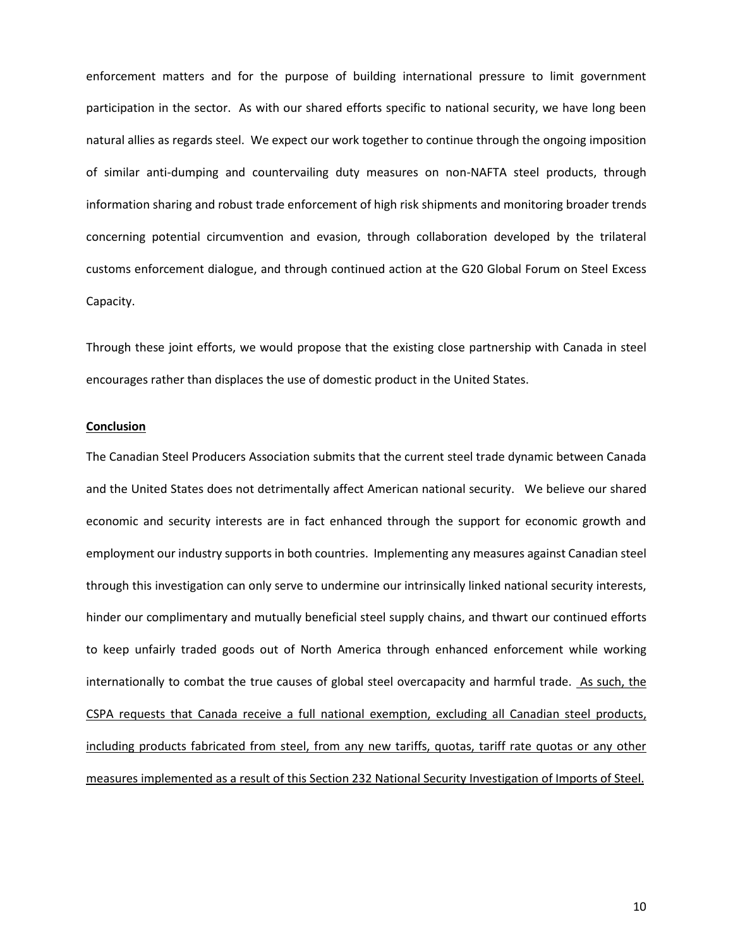enforcement matters and for the purpose of building international pressure to limit government participation in the sector. As with our shared efforts specific to national security, we have long been natural allies as regards steel. We expect our work together to continue through the ongoing imposition of similar anti-dumping and countervailing duty measures on non-NAFTA steel products, through information sharing and robust trade enforcement of high risk shipments and monitoring broader trends concerning potential circumvention and evasion, through collaboration developed by the trilateral customs enforcement dialogue, and through continued action at the G20 Global Forum on Steel Excess Capacity.

Through these joint efforts, we would propose that the existing close partnership with Canada in steel encourages rather than displaces the use of domestic product in the United States.

#### **Conclusion**

The Canadian Steel Producers Association submits that the current steel trade dynamic between Canada and the United States does not detrimentally affect American national security. We believe our shared economic and security interests are in fact enhanced through the support for economic growth and employment our industry supports in both countries. Implementing any measures against Canadian steel through this investigation can only serve to undermine our intrinsically linked national security interests, hinder our complimentary and mutually beneficial steel supply chains, and thwart our continued efforts to keep unfairly traded goods out of North America through enhanced enforcement while working internationally to combat the true causes of global steel overcapacity and harmful trade. As such, the CSPA requests that Canada receive a full national exemption, excluding all Canadian steel products, including products fabricated from steel, from any new tariffs, quotas, tariff rate quotas or any other measures implemented as a result of this Section 232 National Security Investigation of Imports of Steel.